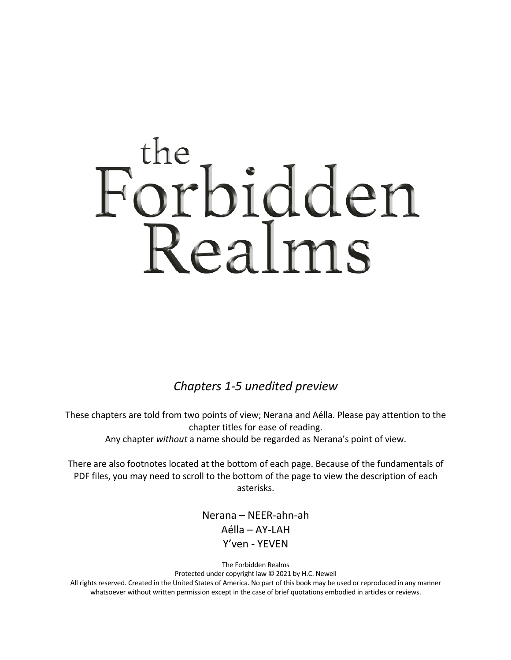# the icebidden

*Chapters 1-5 unedited preview*

These chapters are told from two points of view; Nerana and Aélla. Please pay attention to the chapter titles for ease of reading. Any chapter *without* a name should be regarded as Nerana's point of view.

There are also footnotes located at the bottom of each page. Because of the fundamentals of PDF files, you may need to scroll to the bottom of the page to view the description of each asterisks.

> Nerana – NEER-ahn-ah Aélla – AY-LAH Y'ven - YEVEN

The Forbidden Realms Protected under copyright law © 2021 by H.C. Newell All rights reserved. Created in the United States of America. No part of this book may be used or reproduced in any manner whatsoever without written permission except in the case of brief quotations embodied in articles or reviews.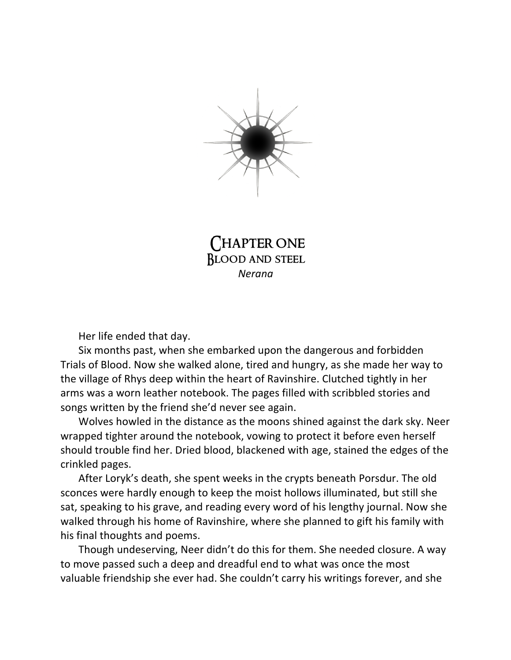

CHAPTER ONE Blood and steel *Nerana*

Her life ended that day.

Six months past, when she embarked upon the dangerous and forbidden Trials of Blood. Now she walked alone, tired and hungry, as she made her way to the village of Rhys deep within the heart of Ravinshire. Clutched tightly in her arms was a worn leather notebook. The pages filled with scribbled stories and songs written by the friend she'd never see again.

Wolves howled in the distance as the moons shined against the dark sky. Neer wrapped tighter around the notebook, vowing to protect it before even herself should trouble find her. Dried blood, blackened with age, stained the edges of the crinkled pages.

After Loryk's death, she spent weeks in the crypts beneath Porsdur. The old sconces were hardly enough to keep the moist hollows illuminated, but still she sat, speaking to his grave, and reading every word of his lengthy journal. Now she walked through his home of Ravinshire, where she planned to gift his family with his final thoughts and poems.

Though undeserving, Neer didn't do this for them. She needed closure. A way to move passed such a deep and dreadful end to what was once the most valuable friendship she ever had. She couldn't carry his writings forever, and she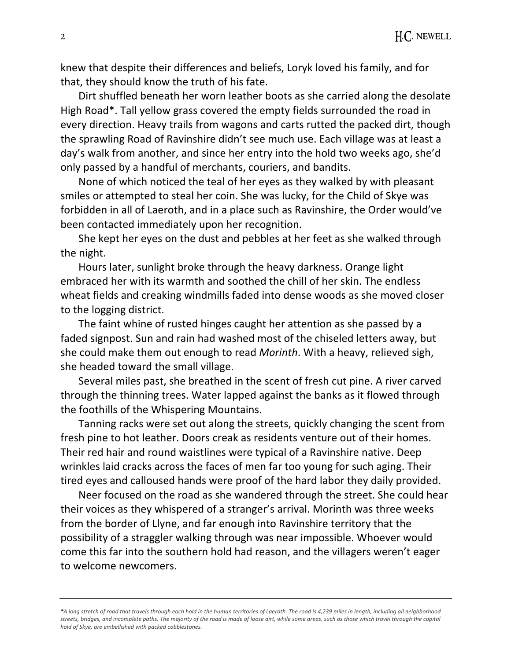knew that despite their differences and beliefs, Loryk loved his family, and for that, they should know the truth of his fate.

Dirt shuffled beneath her worn leather boots as she carried along the desolate High Road\*. Tall yellow grass covered the empty fields surrounded the road in every direction. Heavy trails from wagons and carts rutted the packed dirt, though the sprawling Road of Ravinshire didn't see much use. Each village was at least a day's walk from another, and since her entry into the hold two weeks ago, she'd only passed by a handful of merchants, couriers, and bandits.

None of which noticed the teal of her eyes as they walked by with pleasant smiles or attempted to steal her coin. She was lucky, for the Child of Skye was forbidden in all of Laeroth, and in a place such as Ravinshire, the Order would've been contacted immediately upon her recognition.

She kept her eyes on the dust and pebbles at her feet as she walked through the night.

Hours later, sunlight broke through the heavy darkness. Orange light embraced her with its warmth and soothed the chill of her skin. The endless wheat fields and creaking windmills faded into dense woods as she moved closer to the logging district.

The faint whine of rusted hinges caught her attention as she passed by a faded signpost. Sun and rain had washed most of the chiseled letters away, but she could make them out enough to read *Morinth*. With a heavy, relieved sigh, she headed toward the small village.

Several miles past, she breathed in the scent of fresh cut pine. A river carved through the thinning trees. Water lapped against the banks as it flowed through the foothills of the Whispering Mountains.

Tanning racks were set out along the streets, quickly changing the scent from fresh pine to hot leather. Doors creak as residents venture out of their homes. Their red hair and round waistlines were typical of a Ravinshire native. Deep wrinkles laid cracks across the faces of men far too young for such aging. Their tired eyes and calloused hands were proof of the hard labor they daily provided.

Neer focused on the road as she wandered through the street. She could hear their voices as they whispered of a stranger's arrival. Morinth was three weeks from the border of Llyne, and far enough into Ravinshire territory that the possibility of a straggler walking through was near impossible. Whoever would come this far into the southern hold had reason, and the villagers weren't eager to welcome newcomers.

*\*A long stretch of road that travels through each hold in the human territories of Laeroth. The road is 4,239 miles in length, including all neighborhood streets, bridges, and incomplete paths. The majority of the road is made of loose dirt, while some areas, such as those which travel through the capital hold of Skye, are embellished with packed cobblestones.*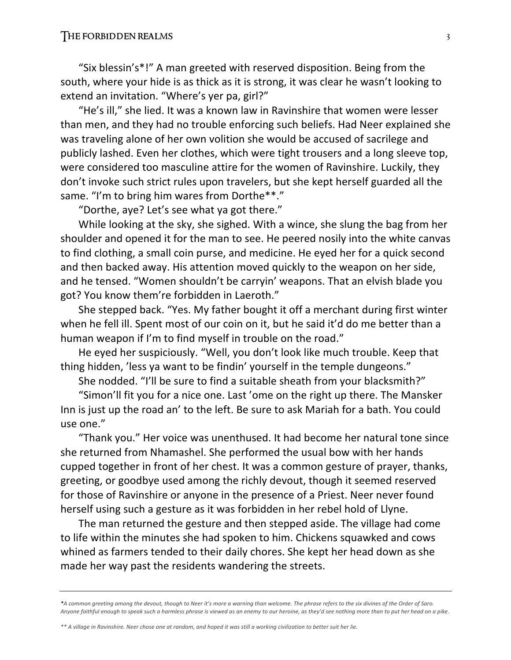### THE FORBIDDEN REALMS 3

"Six blessin's\*!" A man greeted with reserved disposition. Being from the south, where your hide is as thick as it is strong, it was clear he wasn't looking to extend an invitation. "Where's yer pa, girl?"

"He's ill," she lied. It was a known law in Ravinshire that women were lesser than men, and they had no trouble enforcing such beliefs. Had Neer explained she was traveling alone of her own volition she would be accused of sacrilege and publicly lashed. Even her clothes, which were tight trousers and a long sleeve top, were considered too masculine attire for the women of Ravinshire. Luckily, they don't invoke such strict rules upon travelers, but she kept herself guarded all the same. "I'm to bring him wares from Dorthe\*\*."

"Dorthe, aye? Let's see what ya got there."

While looking at the sky, she sighed. With a wince, she slung the bag from her shoulder and opened it for the man to see. He peered nosily into the white canvas to find clothing, a small coin purse, and medicine. He eyed her for a quick second and then backed away. His attention moved quickly to the weapon on her side, and he tensed. "Women shouldn't be carryin' weapons. That an elvish blade you got? You know them're forbidden in Laeroth."

She stepped back. "Yes. My father bought it off a merchant during first winter when he fell ill. Spent most of our coin on it, but he said it'd do me better than a human weapon if I'm to find myself in trouble on the road."

He eyed her suspiciously. "Well, you don't look like much trouble. Keep that thing hidden, 'less ya want to be findin' yourself in the temple dungeons."

She nodded. "I'll be sure to find a suitable sheath from your blacksmith?"

"Simon'll fit you for a nice one. Last 'ome on the right up there. The Mansker Inn is just up the road an' to the left. Be sure to ask Mariah for a bath. You could use one."

"Thank you." Her voice was unenthused. It had become her natural tone since she returned from Nhamashel. She performed the usual bow with her hands cupped together in front of her chest. It was a common gesture of prayer, thanks, greeting, or goodbye used among the richly devout, though it seemed reserved for those of Ravinshire or anyone in the presence of a Priest. Neer never found herself using such a gesture as it was forbidden in her rebel hold of Llyne.

The man returned the gesture and then stepped aside. The village had come to life within the minutes she had spoken to him. Chickens squawked and cows whined as farmers tended to their daily chores. She kept her head down as she made her way past the residents wandering the streets.

*\*A common greeting among the devout, though to Neer it's more a warning than welcome. The phrase refers to the six divines of the Order of Saro. Anyone faithful enough to speak such a harmless phrase is viewed as an enemy to our heroine, as they'd see nothing more than to put her head on a pike.*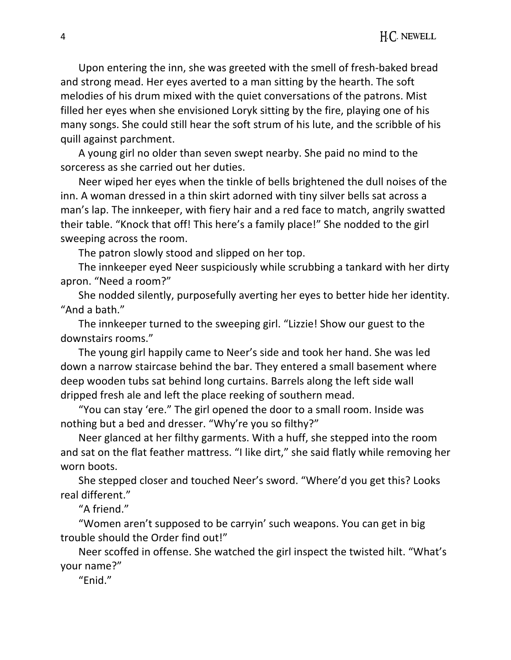Upon entering the inn, she was greeted with the smell of fresh-baked bread and strong mead. Her eyes averted to a man sitting by the hearth. The soft melodies of his drum mixed with the quiet conversations of the patrons. Mist filled her eyes when she envisioned Loryk sitting by the fire, playing one of his many songs. She could still hear the soft strum of his lute, and the scribble of his quill against parchment.

A young girl no older than seven swept nearby. She paid no mind to the sorceress as she carried out her duties.

Neer wiped her eyes when the tinkle of bells brightened the dull noises of the inn. A woman dressed in a thin skirt adorned with tiny silver bells sat across a man's lap. The innkeeper, with fiery hair and a red face to match, angrily swatted their table. "Knock that off! This here's a family place!" She nodded to the girl sweeping across the room.

The patron slowly stood and slipped on her top.

The innkeeper eyed Neer suspiciously while scrubbing a tankard with her dirty apron. "Need a room?"

She nodded silently, purposefully averting her eyes to better hide her identity. "And a bath."

The innkeeper turned to the sweeping girl. "Lizzie! Show our guest to the downstairs rooms."

The young girl happily came to Neer's side and took her hand. She was led down a narrow staircase behind the bar. They entered a small basement where deep wooden tubs sat behind long curtains. Barrels along the left side wall dripped fresh ale and left the place reeking of southern mead.

"You can stay 'ere." The girl opened the door to a small room. Inside was nothing but a bed and dresser. "Why're you so filthy?"

Neer glanced at her filthy garments. With a huff, she stepped into the room and sat on the flat feather mattress. "I like dirt," she said flatly while removing her worn boots.

She stepped closer and touched Neer's sword. "Where'd you get this? Looks real different."

"A friend."

"Women aren't supposed to be carryin' such weapons. You can get in big trouble should the Order find out!"

Neer scoffed in offense. She watched the girl inspect the twisted hilt. "What's your name?"

"Enid."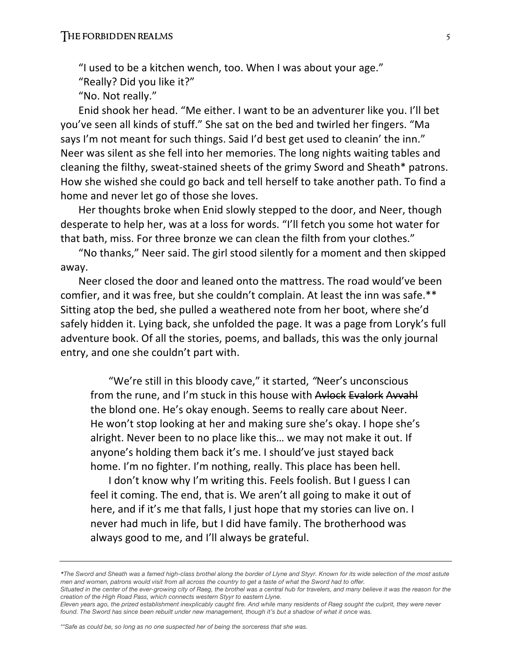"I used to be a kitchen wench, too. When I was about your age."

"Really? Did you like it?"

"No. Not really."

Enid shook her head. "Me either. I want to be an adventurer like you. I'll bet you've seen all kinds of stuff." She sat on the bed and twirled her fingers. "Ma says I'm not meant for such things. Said I'd best get used to cleanin' the inn." Neer was silent as she fell into her memories. The long nights waiting tables and cleaning the filthy, sweat-stained sheets of the grimy Sword and Sheath\* patrons. How she wished she could go back and tell herself to take another path. To find a home and never let go of those she loves.

Her thoughts broke when Enid slowly stepped to the door, and Neer, though desperate to help her, was at a loss for words. "I'll fetch you some hot water for that bath, miss. For three bronze we can clean the filth from your clothes."

"No thanks," Neer said. The girl stood silently for a moment and then skipped away.

Neer closed the door and leaned onto the mattress. The road would've been comfier, and it was free, but she couldn't complain. At least the inn was safe.\*\* Sitting atop the bed, she pulled a weathered note from her boot, where she'd safely hidden it. Lying back, she unfolded the page. It was a page from Loryk's full adventure book. Of all the stories, poems, and ballads, this was the only journal entry, and one she couldn't part with.

"We're still in this bloody cave," it started, *"*Neer's unconscious from the rune, and I'm stuck in this house with Avlock Evalork Avvahl the blond one. He's okay enough. Seems to really care about Neer. He won't stop looking at her and making sure she's okay. I hope she's alright. Never been to no place like this… we may not make it out. If anyone's holding them back it's me. I should've just stayed back home. I'm no fighter. I'm nothing, really. This place has been hell.

I don't know why I'm writing this. Feels foolish. But I guess I can feel it coming. The end, that is. We aren't all going to make it out of here, and if it's me that falls, I just hope that my stories can live on. I never had much in life, but I did have family. The brotherhood was always good to me, and I'll always be grateful.

*<sup>\*</sup>The Sword and Sheath was a famed high-class brothel along the border of Llyne and Styyr. Known for its wide selection of the most astute men and women, patrons would visit from all across the country to get a taste of what the Sword had to offer.*

Situated in the center of the ever-growing city of Raeg, the brothel was a central hub for travelers, and many believe it was the reason for the *creation of the High Road Pass, which connects western Styyr to eastern Llyne.* 

*Eleven years ago, the prized establishment inexplicably caught fire. And while many residents of Raeg sought the culprit, they were never found. The Sword has since been rebuilt under new management, though it's but a shadow of what it once was.*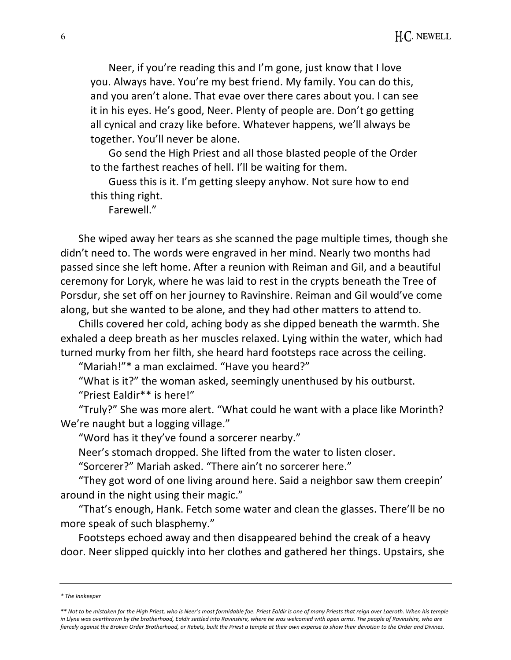Neer, if you're reading this and I'm gone, just know that I love you. Always have. You're my best friend. My family. You can do this, and you aren't alone. That evae over there cares about you. I can see it in his eyes. He's good, Neer. Plenty of people are. Don't go getting all cynical and crazy like before. Whatever happens, we'll always be together. You'll never be alone.

Go send the High Priest and all those blasted people of the Order to the farthest reaches of hell. I'll be waiting for them.

Guess this is it. I'm getting sleepy anyhow. Not sure how to end this thing right.

Farewell."

She wiped away her tears as she scanned the page multiple times, though she didn't need to. The words were engraved in her mind. Nearly two months had passed since she left home. After a reunion with Reiman and Gil, and a beautiful ceremony for Loryk, where he was laid to rest in the crypts beneath the Tree of Porsdur, she set off on her journey to Ravinshire. Reiman and Gil would've come along, but she wanted to be alone, and they had other matters to attend to.

Chills covered her cold, aching body as she dipped beneath the warmth. She exhaled a deep breath as her muscles relaxed. Lying within the water, which had turned murky from her filth, she heard hard footsteps race across the ceiling.

"Mariah!"\* a man exclaimed. "Have you heard?"

"What is it?" the woman asked, seemingly unenthused by his outburst. "Priest Ealdir\*\* is here!"

"Truly?" She was more alert. "What could he want with a place like Morinth? We're naught but a logging village."

"Word has it they've found a sorcerer nearby."

Neer's stomach dropped. She lifted from the water to listen closer.

"Sorcerer?" Mariah asked. "There ain't no sorcerer here."

"They got word of one living around here. Said a neighbor saw them creepin' around in the night using their magic."

"That's enough, Hank. Fetch some water and clean the glasses. There'll be no more speak of such blasphemy."

Footsteps echoed away and then disappeared behind the creak of a heavy door. Neer slipped quickly into her clothes and gathered her things. Upstairs, she

*<sup>\*</sup> The Innkeeper*

*<sup>\*\*</sup> Not to be mistaken for the High Priest, who is Neer's most formidable foe. Priest Ealdir is one of many Priests that reign over Laeroth. When his temple in Llyne was overthrown by the brotherhood, Ealdir settled into Ravinshire, where he was welcomed with open arms. The people of Ravinshire, who are fiercely against the Broken Order Brotherhood, or Rebels, built the Priest a temple at their own expense to show their devotion to the Order and Divines.*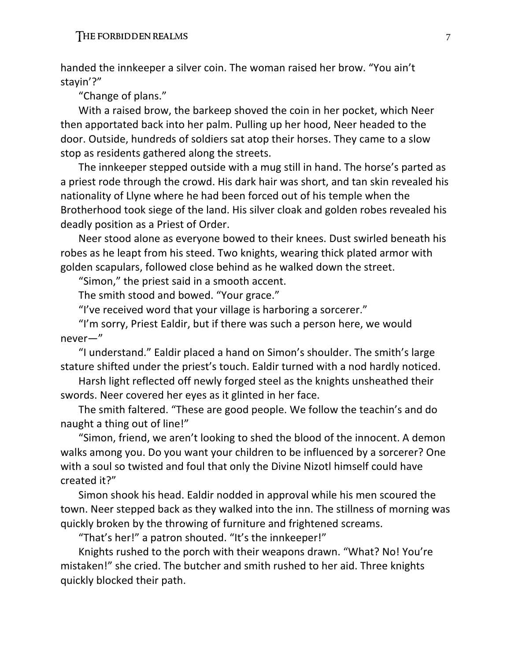handed the innkeeper a silver coin. The woman raised her brow. "You ain't stayin'?"

"Change of plans."

With a raised brow, the barkeep shoved the coin in her pocket, which Neer then apportated back into her palm. Pulling up her hood, Neer headed to the door. Outside, hundreds of soldiers sat atop their horses. They came to a slow stop as residents gathered along the streets.

The innkeeper stepped outside with a mug still in hand. The horse's parted as a priest rode through the crowd. His dark hair was short, and tan skin revealed his nationality of Llyne where he had been forced out of his temple when the Brotherhood took siege of the land. His silver cloak and golden robes revealed his deadly position as a Priest of Order.

Neer stood alone as everyone bowed to their knees. Dust swirled beneath his robes as he leapt from his steed. Two knights, wearing thick plated armor with golden scapulars, followed close behind as he walked down the street.

"Simon," the priest said in a smooth accent.

The smith stood and bowed. "Your grace."

"I've received word that your village is harboring a sorcerer."

"I'm sorry, Priest Ealdir, but if there was such a person here, we would never—"

"I understand." Ealdir placed a hand on Simon's shoulder. The smith's large stature shifted under the priest's touch. Ealdir turned with a nod hardly noticed.

Harsh light reflected off newly forged steel as the knights unsheathed their swords. Neer covered her eyes as it glinted in her face.

The smith faltered. "These are good people. We follow the teachin's and do naught a thing out of line!"

"Simon, friend, we aren't looking to shed the blood of the innocent. A demon walks among you. Do you want your children to be influenced by a sorcerer? One with a soul so twisted and foul that only the Divine Nizotl himself could have created it?"

Simon shook his head. Ealdir nodded in approval while his men scoured the town. Neer stepped back as they walked into the inn. The stillness of morning was quickly broken by the throwing of furniture and frightened screams.

"That's her!" a patron shouted. "It's the innkeeper!"

Knights rushed to the porch with their weapons drawn. "What? No! You're mistaken!" she cried. The butcher and smith rushed to her aid. Three knights quickly blocked their path.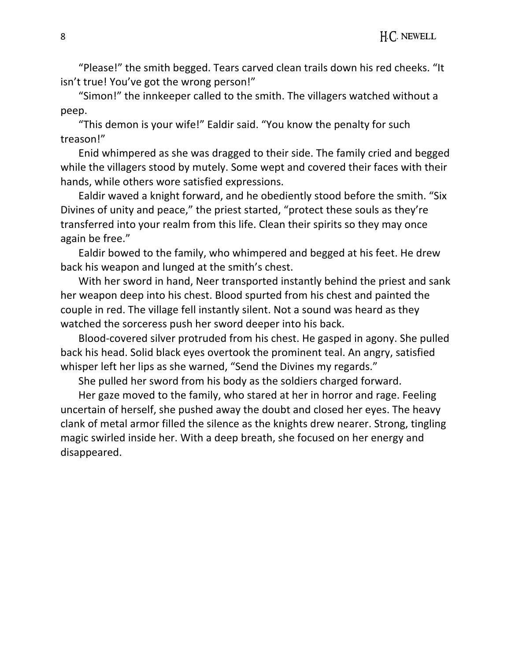"Please!" the smith begged. Tears carved clean trails down his red cheeks. "It isn't true! You've got the wrong person!"

"Simon!" the innkeeper called to the smith. The villagers watched without a peep.

"This demon is your wife!" Ealdir said. "You know the penalty for such treason!"

Enid whimpered as she was dragged to their side. The family cried and begged while the villagers stood by mutely. Some wept and covered their faces with their hands, while others wore satisfied expressions.

Ealdir waved a knight forward, and he obediently stood before the smith. "Six Divines of unity and peace," the priest started, "protect these souls as they're transferred into your realm from this life. Clean their spirits so they may once again be free."

Ealdir bowed to the family, who whimpered and begged at his feet. He drew back his weapon and lunged at the smith's chest.

With her sword in hand, Neer transported instantly behind the priest and sank her weapon deep into his chest. Blood spurted from his chest and painted the couple in red. The village fell instantly silent. Not a sound was heard as they watched the sorceress push her sword deeper into his back.

Blood-covered silver protruded from his chest. He gasped in agony. She pulled back his head. Solid black eyes overtook the prominent teal. An angry, satisfied whisper left her lips as she warned, "Send the Divines my regards."

She pulled her sword from his body as the soldiers charged forward.

Her gaze moved to the family, who stared at her in horror and rage. Feeling uncertain of herself, she pushed away the doubt and closed her eyes. The heavy clank of metal armor filled the silence as the knights drew nearer. Strong, tingling magic swirled inside her. With a deep breath, she focused on her energy and disappeared.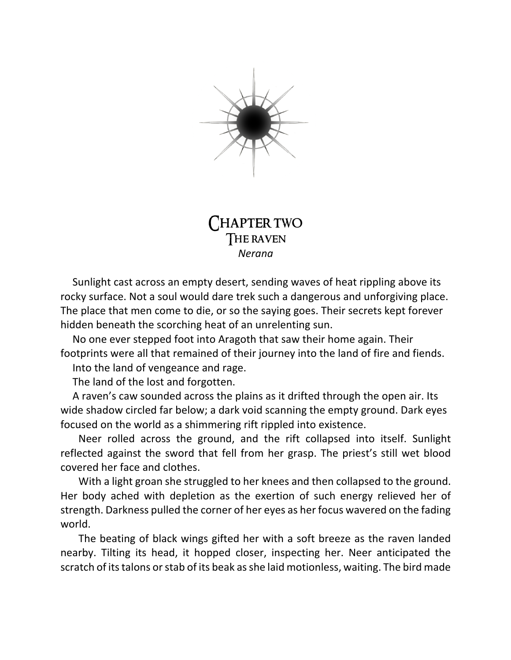

# **HAPTER TWO** The raven *Nerana*

Sunlight cast across an empty desert, sending waves of heat rippling above its rocky surface. Not a soul would dare trek such a dangerous and unforgiving place. The place that men come to die, or so the saying goes. Their secrets kept forever hidden beneath the scorching heat of an unrelenting sun.

No one ever stepped foot into Aragoth that saw their home again. Their footprints were all that remained of their journey into the land of fire and fiends.

Into the land of vengeance and rage.

The land of the lost and forgotten.

A raven's caw sounded across the plains as it drifted through the open air. Its wide shadow circled far below; a dark void scanning the empty ground. Dark eyes focused on the world as a shimmering rift rippled into existence.

Neer rolled across the ground, and the rift collapsed into itself. Sunlight reflected against the sword that fell from her grasp. The priest's still wet blood covered her face and clothes.

With a light groan she struggled to her knees and then collapsed to the ground. Her body ached with depletion as the exertion of such energy relieved her of strength. Darkness pulled the corner of her eyes as her focus wavered on the fading world.

The beating of black wings gifted her with a soft breeze as the raven landed nearby. Tilting its head, it hopped closer, inspecting her. Neer anticipated the scratch of its talons or stab of its beak as she laid motionless, waiting. The bird made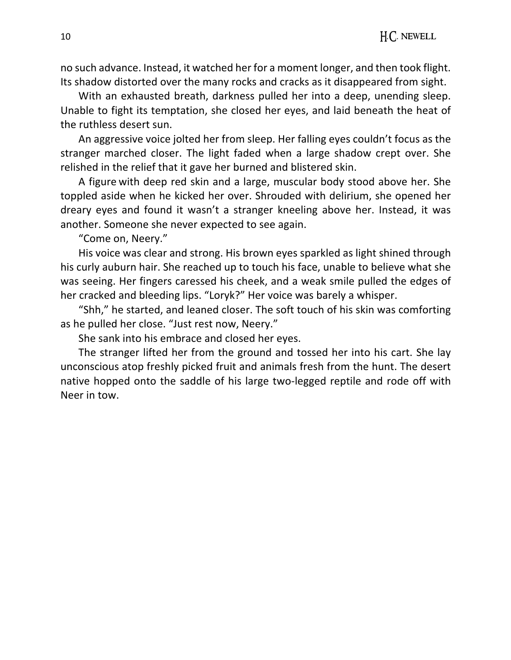no such advance. Instead, it watched her for a moment longer, and then took flight. Its shadow distorted over the many rocks and cracks as it disappeared from sight.

With an exhausted breath, darkness pulled her into a deep, unending sleep. Unable to fight its temptation, she closed her eyes, and laid beneath the heat of the ruthless desert sun.

An aggressive voice jolted her from sleep. Her falling eyes couldn't focus as the stranger marched closer. The light faded when a large shadow crept over. She relished in the relief that it gave her burned and blistered skin.

A figure with deep red skin and a large, muscular body stood above her. She toppled aside when he kicked her over. Shrouded with delirium, she opened her dreary eyes and found it wasn't a stranger kneeling above her. Instead, it was another. Someone she never expected to see again.

"Come on, Neery."

His voice was clear and strong. His brown eyes sparkled as light shined through his curly auburn hair. She reached up to touch his face, unable to believe what she was seeing. Her fingers caressed his cheek, and a weak smile pulled the edges of her cracked and bleeding lips. "Loryk?" Her voice was barely a whisper.

"Shh," he started, and leaned closer. The soft touch of his skin was comforting as he pulled her close. "Just rest now, Neery."

She sank into his embrace and closed her eyes.

The stranger lifted her from the ground and tossed her into his cart. She lay unconscious atop freshly picked fruit and animals fresh from the hunt. The desert native hopped onto the saddle of his large two-legged reptile and rode off with Neer in tow.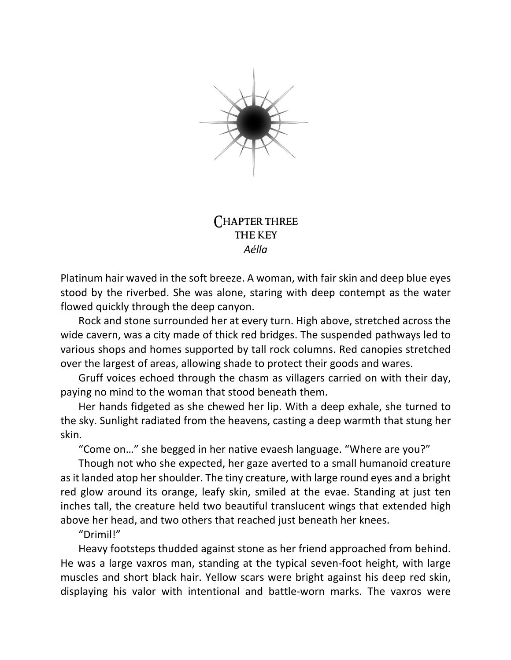

## Chapter three the key *Aélla*

Platinum hair waved in the soft breeze. A woman, with fair skin and deep blue eyes stood by the riverbed. She was alone, staring with deep contempt as the water flowed quickly through the deep canyon.

Rock and stone surrounded her at every turn. High above, stretched across the wide cavern, was a city made of thick red bridges. The suspended pathways led to various shops and homes supported by tall rock columns. Red canopies stretched over the largest of areas, allowing shade to protect their goods and wares.

Gruff voices echoed through the chasm as villagers carried on with their day, paying no mind to the woman that stood beneath them.

Her hands fidgeted as she chewed her lip. With a deep exhale, she turned to the sky. Sunlight radiated from the heavens, casting a deep warmth that stung her skin.

"Come on…" she begged in her native evaesh language. "Where are you?"

Though not who she expected, her gaze averted to a small humanoid creature as it landed atop her shoulder. The tiny creature, with large round eyes and a bright red glow around its orange, leafy skin, smiled at the evae. Standing at just ten inches tall, the creature held two beautiful translucent wings that extended high above her head, and two others that reached just beneath her knees.

### "Drimil!"

Heavy footsteps thudded against stone as her friend approached from behind. He was a large vaxros man, standing at the typical seven-foot height, with large muscles and short black hair. Yellow scars were bright against his deep red skin, displaying his valor with intentional and battle-worn marks. The vaxros were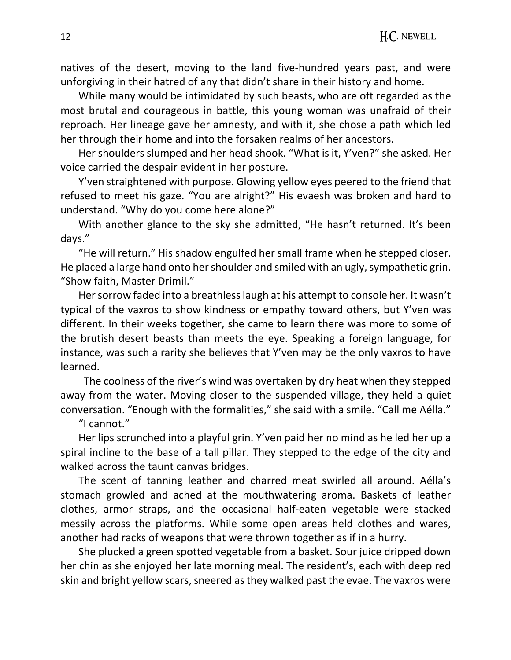natives of the desert, moving to the land five-hundred years past, and were unforgiving in their hatred of any that didn't share in their history and home.

While many would be intimidated by such beasts, who are oft regarded as the most brutal and courageous in battle, this young woman was unafraid of their reproach. Her lineage gave her amnesty, and with it, she chose a path which led her through their home and into the forsaken realms of her ancestors.

Her shoulders slumped and her head shook. "What is it, Y'ven?" she asked. Her voice carried the despair evident in her posture.

Y'ven straightened with purpose. Glowing yellow eyes peered to the friend that refused to meet his gaze. "You are alright?" His evaesh was broken and hard to understand. "Why do you come here alone?"

With another glance to the sky she admitted, "He hasn't returned. It's been days."

"He will return." His shadow engulfed her small frame when he stepped closer. He placed a large hand onto her shoulder and smiled with an ugly, sympathetic grin. "Show faith, Master Drimil."

Her sorrow faded into a breathless laugh at his attempt to console her. It wasn't typical of the vaxros to show kindness or empathy toward others, but Y'ven was different. In their weeks together, she came to learn there was more to some of the brutish desert beasts than meets the eye. Speaking a foreign language, for instance, was such a rarity she believes that Y'ven may be the only vaxros to have learned.

 The coolness of the river's wind was overtaken by dry heat when they stepped away from the water. Moving closer to the suspended village, they held a quiet conversation. "Enough with the formalities," she said with a smile. "Call me Aélla."

"I cannot."

Her lips scrunched into a playful grin. Y'ven paid her no mind as he led her up a spiral incline to the base of a tall pillar. They stepped to the edge of the city and walked across the taunt canvas bridges.

The scent of tanning leather and charred meat swirled all around. Aélla's stomach growled and ached at the mouthwatering aroma. Baskets of leather clothes, armor straps, and the occasional half-eaten vegetable were stacked messily across the platforms. While some open areas held clothes and wares, another had racks of weapons that were thrown together as if in a hurry.

She plucked a green spotted vegetable from a basket. Sour juice dripped down her chin as she enjoyed her late morning meal. The resident's, each with deep red skin and bright yellow scars, sneered as they walked past the evae. The vaxros were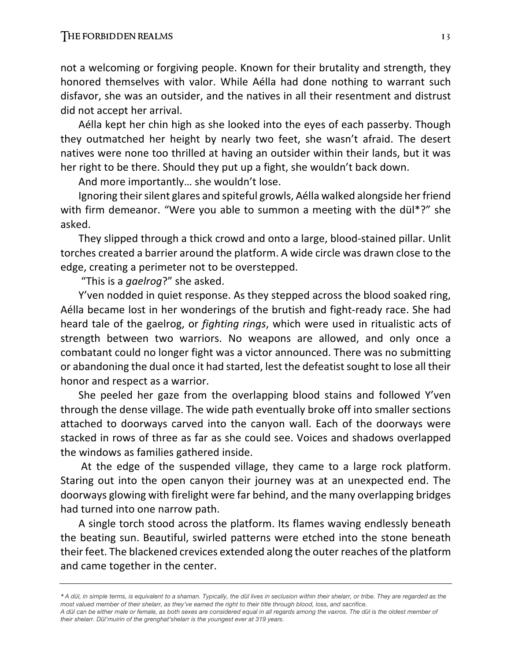not a welcoming or forgiving people. Known for their brutality and strength, they honored themselves with valor. While Aélla had done nothing to warrant such disfavor, she was an outsider, and the natives in all their resentment and distrust did not accept her arrival.

Aélla kept her chin high as she looked into the eyes of each passerby. Though they outmatched her height by nearly two feet, she wasn't afraid. The desert natives were none too thrilled at having an outsider within their lands, but it was her right to be there. Should they put up a fight, she wouldn't back down.

And more importantly… she wouldn't lose.

Ignoring their silent glares and spiteful growls, Aélla walked alongside her friend with firm demeanor. "Were you able to summon a meeting with the dül\*?" she asked.

They slipped through a thick crowd and onto a large, blood-stained pillar. Unlit torches created a barrier around the platform. A wide circle was drawn close to the edge, creating a perimeter not to be overstepped.

"This is a *gaelrog*?" she asked.

Y'ven nodded in quiet response. As they stepped across the blood soaked ring, Aélla became lost in her wonderings of the brutish and fight-ready race. She had heard tale of the gaelrog, or *fighting rings*, which were used in ritualistic acts of strength between two warriors. No weapons are allowed, and only once a combatant could no longer fight was a victor announced. There was no submitting or abandoning the dual once it had started, lest the defeatist sought to lose all their honor and respect as a warrior.

She peeled her gaze from the overlapping blood stains and followed Y'ven through the dense village. The wide path eventually broke off into smaller sections attached to doorways carved into the canyon wall. Each of the doorways were stacked in rows of three as far as she could see. Voices and shadows overlapped the windows as families gathered inside.

At the edge of the suspended village, they came to a large rock platform. Staring out into the open canyon their journey was at an unexpected end. The doorways glowing with firelight were far behind, and the many overlapping bridges had turned into one narrow path.

A single torch stood across the platform. Its flames waving endlessly beneath the beating sun. Beautiful, swirled patterns were etched into the stone beneath their feet. The blackened crevices extended along the outer reaches of the platform and came together in the center.

*<sup>\*</sup> A dül, in simple terms, is equivalent to a shaman. Typically, the dül lives in seclusion within their shelarr, or tribe. They are regarded as the most valued member of their shelarr, as they've earned the right to their title through blood, loss, and sacrifice.*

*A dül can be either male or female, as both sexes are considered equal in all regards among the vaxros. The dül is the oldest member of their shelarr. Dül'muirin of the grenghat'shelarr is the youngest ever at 319 years.*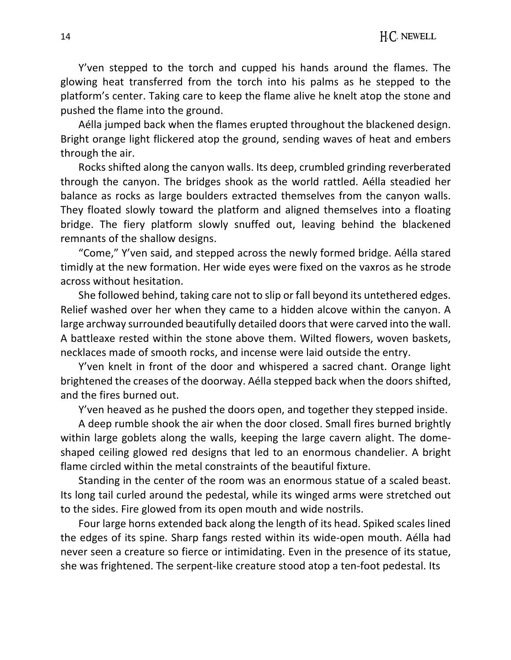Y'ven stepped to the torch and cupped his hands around the flames. The glowing heat transferred from the torch into his palms as he stepped to the platform's center. Taking care to keep the flame alive he knelt atop the stone and pushed the flame into the ground.

Aélla jumped back when the flames erupted throughout the blackened design. Bright orange light flickered atop the ground, sending waves of heat and embers through the air.

Rocks shifted along the canyon walls. Its deep, crumbled grinding reverberated through the canyon. The bridges shook as the world rattled. Aélla steadied her balance as rocks as large boulders extracted themselves from the canyon walls. They floated slowly toward the platform and aligned themselves into a floating bridge. The fiery platform slowly snuffed out, leaving behind the blackened remnants of the shallow designs.

"Come," Y'ven said, and stepped across the newly formed bridge. Aélla stared timidly at the new formation. Her wide eyes were fixed on the vaxros as he strode across without hesitation.

She followed behind, taking care not to slip or fall beyond its untethered edges. Relief washed over her when they came to a hidden alcove within the canyon. A large archway surrounded beautifully detailed doorsthat were carved into the wall. A battleaxe rested within the stone above them. Wilted flowers, woven baskets, necklaces made of smooth rocks, and incense were laid outside the entry.

Y'ven knelt in front of the door and whispered a sacred chant. Orange light brightened the creases of the doorway. Aélla stepped back when the doors shifted, and the fires burned out.

Y'ven heaved as he pushed the doors open, and together they stepped inside.

A deep rumble shook the air when the door closed. Small fires burned brightly within large goblets along the walls, keeping the large cavern alight. The domeshaped ceiling glowed red designs that led to an enormous chandelier. A bright flame circled within the metal constraints of the beautiful fixture.

Standing in the center of the room was an enormous statue of a scaled beast. Its long tail curled around the pedestal, while its winged arms were stretched out to the sides. Fire glowed from its open mouth and wide nostrils.

Four large horns extended back along the length of its head. Spiked scales lined the edges of its spine. Sharp fangs rested within its wide-open mouth. Aélla had never seen a creature so fierce or intimidating. Even in the presence of its statue, she was frightened. The serpent-like creature stood atop a ten-foot pedestal. Its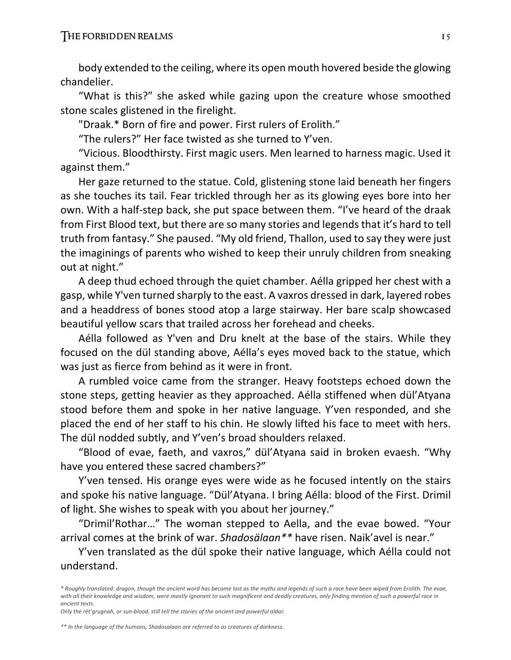body extended to the ceiling, where its open mouth hovered beside the glowing chandelier.

"What is this?" she asked while gazing upon the creature whose smoothed stone scales glistened in the firelight.

"Draak.\* Born of fire and power. First rulers of Erolith."

"The rulers?" Her face twisted as she turned to Y'ven.

"Vicious. Bloodthirsty. First magic users. Men learned to harness magic. Used it against them."

Her gaze returned to the statue. Cold, glistening stone laid beneath her fingers as she touches its tail. Fear trickled through her as its glowing eyes bore into her own. With a half-step back, she put space between them. "I've heard of the draak from First Blood text, but there are so many stories and legends that it's hard to tell truth from fantasy." She paused. "My old friend, Thallon, used to say they were just the imaginings of parents who wished to keep their unruly children from sneaking out at night."

A deep thud echoed through the quiet chamber. Aélla gripped her chest with a gasp, while Y'ven turned sharply to the east. A vaxros dressed in dark, layered robes and a headdress of bones stood atop a large stairway. Her bare scalp showcased beautiful yellow scars that trailed across her forehead and cheeks.

Aélla followed as Y'ven and Dru knelt at the base of the stairs. While they focused on the dül standing above, Aélla's eyes moved back to the statue, which was just as fierce from behind as it were in front.

A rumbled voice came from the stranger. Heavy footsteps echoed down the stone steps, getting heavier as they approached. Aélla stiffened when dül'Atyana stood before them and spoke in her native language. Y'ven responded, and she placed the end of her staff to his chin. He slowly lifted his face to meet with hers. The dül nodded subtly, and Y'ven's broad shoulders relaxed.

"Blood of evae, faeth, and vaxros," dül'Atyana said in broken evaesh. "Why have you entered these sacred chambers?"

Y'ven tensed. His orange eyes were wide as he focused intently on the stairs and spoke his native language. "Dül'Atyana. I bring Aélla: blood of the First. Drimil of light. She wishes to speak with you about her journey."

"Drimil'Rothar…" The woman stepped to Aella, and the evae bowed. "Your arrival comes at the brink of war. *Shadosälaan\*\** have risen. Naik'avel is near."

Y'ven translated as the dül spoke their native language, which Aélla could not understand.

*Only the rët'grugnah, or sun-blood, still tell the stories of the ancient and powerful aldar.*

*<sup>\*</sup> Roughly translated: dragon, though the ancient word has become lost as the myths and legends of such a race have been wiped from Erolith. The evae, with all their knowledge and wisdom, were mostly ignorant to such magnificent and deadly creatures, only finding mention of such a powerful race in ancient texts.* 

*<sup>\*\*</sup> In the language of the humans, Shadosalaan are referred to as creatures of darkness.*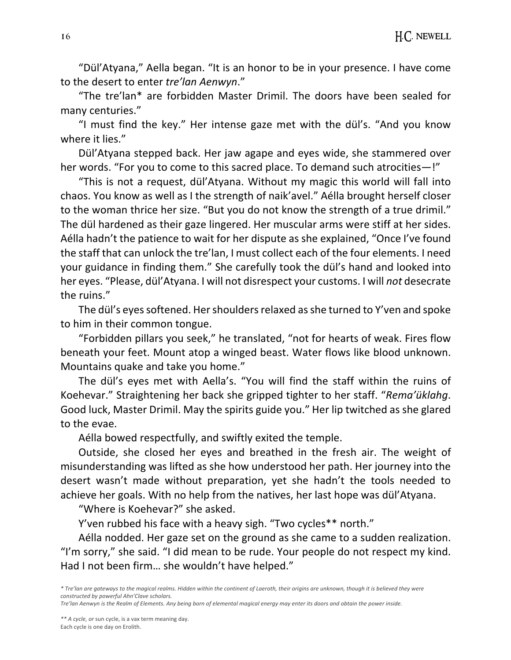"Dül'Atyana," Aella began. "It is an honor to be in your presence. I have come to the desert to enter *tre'lan Aenwyn*."

"The tre'lan\* are forbidden Master Drimil. The doors have been sealed for many centuries."

"I must find the key." Her intense gaze met with the dül's. "And you know where it lies."

Dül'Atyana stepped back. Her jaw agape and eyes wide, she stammered over her words. "For you to come to this sacred place. To demand such atrocities—!"

"This is not a request, dül'Atyana. Without my magic this world will fall into chaos. You know as well as I the strength of naik'avel." Aélla brought herself closer to the woman thrice her size. "But you do not know the strength of a true drimil." The dül hardened as their gaze lingered. Her muscular arms were stiff at her sides. Aélla hadn't the patience to wait for her dispute as she explained, "Once I've found the staff that can unlock the tre'lan, I must collect each of the four elements. I need your guidance in finding them." She carefully took the dül's hand and looked into her eyes. "Please, dül'Atyana. I will not disrespect your customs. I will *not* desecrate the ruins."

The dül's eyes softened. Her shoulders relaxed as she turned to Y'ven and spoke to him in their common tongue.

"Forbidden pillars you seek," he translated, "not for hearts of weak. Fires flow beneath your feet. Mount atop a winged beast. Water flows like blood unknown. Mountains quake and take you home."

The dül's eyes met with Aella's. "You will find the staff within the ruins of Koehevar." Straightening her back she gripped tighter to her staff. "*Rema'üklahg*. Good luck, Master Drimil. May the spirits guide you." Her lip twitched as she glared to the evae.

Aélla bowed respectfully, and swiftly exited the temple.

Outside, she closed her eyes and breathed in the fresh air. The weight of misunderstanding was lifted as she how understood her path. Her journey into the desert wasn't made without preparation, yet she hadn't the tools needed to achieve her goals. With no help from the natives, her last hope was dül'Atyana.

"Where is Koehevar?" she asked.

Y'ven rubbed his face with a heavy sigh. "Two cycles\*\* north."

Aélla nodded. Her gaze set on the ground as she came to a sudden realization. "I'm sorry," she said. "I did mean to be rude. Your people do not respect my kind. Had I not been firm… she wouldn't have helped."

*<sup>\*</sup> Tre'lan are gateways to the magical realms. Hidden within the continent of Laeroth, their origins are unknown, though it is believed they were constructed by powerful Ahn'Clave scholars.*

*Tre'lan Aenwyn is the Realm of Elements. Any being born of elemental magical energy may enter its doors and obtain the power inside.*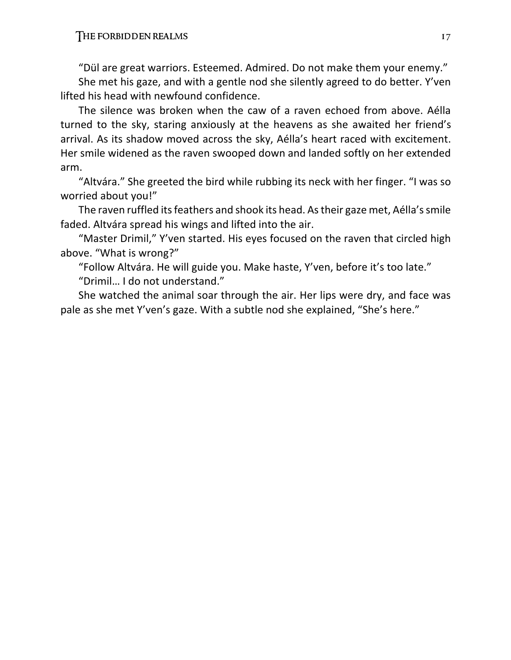"Dül are great warriors. Esteemed. Admired. Do not make them your enemy."

She met his gaze, and with a gentle nod she silently agreed to do better. Y'ven lifted his head with newfound confidence.

The silence was broken when the caw of a raven echoed from above. Aélla turned to the sky, staring anxiously at the heavens as she awaited her friend's arrival. As its shadow moved across the sky, Aélla's heart raced with excitement. Her smile widened as the raven swooped down and landed softly on her extended arm.

"Altvára." She greeted the bird while rubbing its neck with her finger. "I was so worried about you!"

The raven ruffled its feathers and shook its head. As their gaze met, Aélla's smile faded. Altvára spread his wings and lifted into the air.

"Master Drimil," Y'ven started. His eyes focused on the raven that circled high above. "What is wrong?"

"Follow Altvára. He will guide you. Make haste, Y'ven, before it's too late." "Drimil… I do not understand."

She watched the animal soar through the air. Her lips were dry, and face was pale as she met Y'ven's gaze. With a subtle nod she explained, "She's here."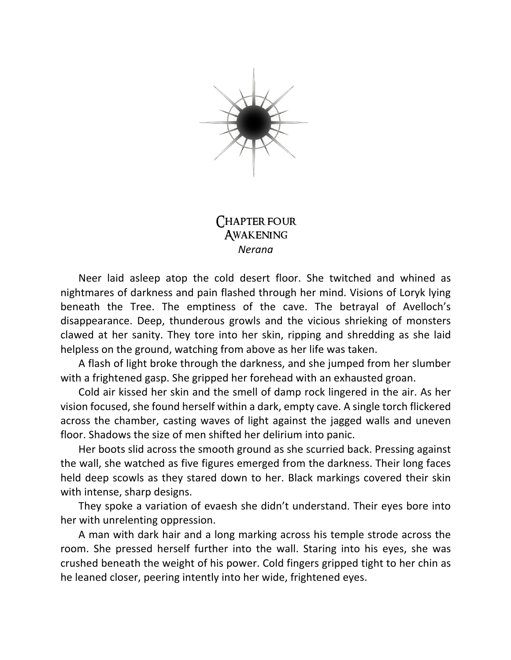

## Chapter four **AWAKENING** *Nerana*

Neer laid asleep atop the cold desert floor. She twitched and whined as nightmares of darkness and pain flashed through her mind. Visions of Loryk lying beneath the Tree. The emptiness of the cave. The betrayal of Avelloch's disappearance. Deep, thunderous growls and the vicious shrieking of monsters clawed at her sanity. They tore into her skin, ripping and shredding as she laid helpless on the ground, watching from above as her life was taken.

A flash of light broke through the darkness, and she jumped from her slumber with a frightened gasp. She gripped her forehead with an exhausted groan.

Cold air kissed her skin and the smell of damp rock lingered in the air. As her vision focused, she found herself within a dark, empty cave. A single torch flickered across the chamber, casting waves of light against the jagged walls and uneven floor. Shadows the size of men shifted her delirium into panic.

Her boots slid across the smooth ground as she scurried back. Pressing against the wall, she watched as five figures emerged from the darkness. Their long faces held deep scowls as they stared down to her. Black markings covered their skin with intense, sharp designs.

They spoke a variation of evaesh she didn't understand. Their eyes bore into her with unrelenting oppression.

A man with dark hair and a long marking across his temple strode across the room. She pressed herself further into the wall. Staring into his eyes, she was crushed beneath the weight of his power. Cold fingers gripped tight to her chin as he leaned closer, peering intently into her wide, frightened eyes.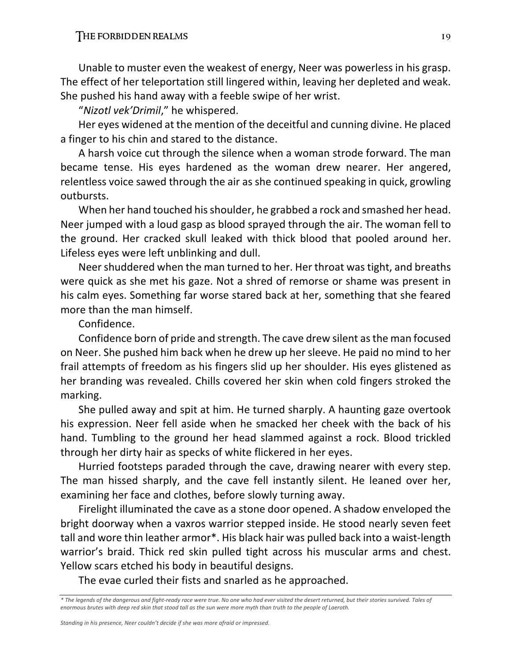Unable to muster even the weakest of energy, Neer was powerless in his grasp. The effect of her teleportation still lingered within, leaving her depleted and weak. She pushed his hand away with a feeble swipe of her wrist.

"*Nizotl vek'Drimil*," he whispered.

Her eyes widened at the mention of the deceitful and cunning divine. He placed a finger to his chin and stared to the distance.

A harsh voice cut through the silence when a woman strode forward. The man became tense. His eyes hardened as the woman drew nearer. Her angered, relentless voice sawed through the air as she continued speaking in quick, growling outbursts.

When her hand touched his shoulder, he grabbed a rock and smashed her head. Neer jumped with a loud gasp as blood sprayed through the air. The woman fell to the ground. Her cracked skull leaked with thick blood that pooled around her. Lifeless eyes were left unblinking and dull.

Neer shuddered when the man turned to her. Her throat was tight, and breaths were quick as she met his gaze. Not a shred of remorse or shame was present in his calm eyes. Something far worse stared back at her, something that she feared more than the man himself.

Confidence.

Confidence born of pride and strength. The cave drew silent as the man focused on Neer. She pushed him back when he drew up her sleeve. He paid no mind to her frail attempts of freedom as his fingers slid up her shoulder. His eyes glistened as her branding was revealed. Chills covered her skin when cold fingers stroked the marking.

She pulled away and spit at him. He turned sharply. A haunting gaze overtook his expression. Neer fell aside when he smacked her cheek with the back of his hand. Tumbling to the ground her head slammed against a rock. Blood trickled through her dirty hair as specks of white flickered in her eyes.

Hurried footsteps paraded through the cave, drawing nearer with every step. The man hissed sharply, and the cave fell instantly silent. He leaned over her, examining her face and clothes, before slowly turning away.

Firelight illuminated the cave as a stone door opened. A shadow enveloped the bright doorway when a vaxros warrior stepped inside. He stood nearly seven feet tall and wore thin leather armor\*. His black hair was pulled back into a waist-length warrior's braid. Thick red skin pulled tight across his muscular arms and chest. Yellow scars etched his body in beautiful designs.

The evae curled their fists and snarled as he approached.

*<sup>\*</sup> The legends of the dangerous and fight-ready race were true. No one who had ever visited the desert returned, but their stories survived. Tales of enormous brutes with deep red skin that stood tall as the sun were more myth than truth to the people of Laeroth.*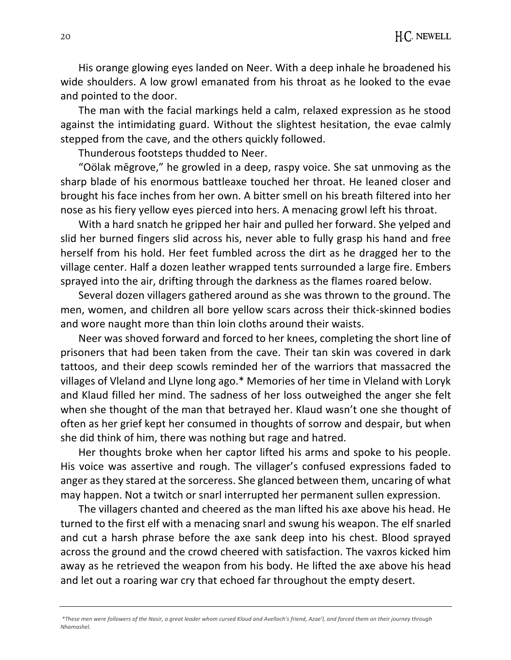His orange glowing eyes landed on Neer. With a deep inhale he broadened his wide shoulders. A low growl emanated from his throat as he looked to the evae and pointed to the door.

The man with the facial markings held a calm, relaxed expression as he stood against the intimidating guard. Without the slightest hesitation, the evae calmly stepped from the cave, and the others quickly followed.

Thunderous footsteps thudded to Neer.

"Oölak mēgrove," he growled in a deep, raspy voice. She sat unmoving as the sharp blade of his enormous battleaxe touched her throat. He leaned closer and brought his face inches from her own. A bitter smell on his breath filtered into her nose as his fiery yellow eyes pierced into hers. A menacing growl left his throat.

With a hard snatch he gripped her hair and pulled her forward. She yelped and slid her burned fingers slid across his, never able to fully grasp his hand and free herself from his hold. Her feet fumbled across the dirt as he dragged her to the village center. Half a dozen leather wrapped tents surrounded a large fire. Embers sprayed into the air, drifting through the darkness as the flames roared below.

Several dozen villagers gathered around as she was thrown to the ground. The men, women, and children all bore yellow scars across their thick-skinned bodies and wore naught more than thin loin cloths around their waists.

Neer was shoved forward and forced to her knees, completing the short line of prisoners that had been taken from the cave. Their tan skin was covered in dark tattoos, and their deep scowls reminded her of the warriors that massacred the villages of Vleland and Llyne long ago.\* Memories of her time in Vleland with Loryk and Klaud filled her mind. The sadness of her loss outweighed the anger she felt when she thought of the man that betrayed her. Klaud wasn't one she thought of often as her grief kept her consumed in thoughts of sorrow and despair, but when she did think of him, there was nothing but rage and hatred.

Her thoughts broke when her captor lifted his arms and spoke to his people. His voice was assertive and rough. The villager's confused expressions faded to anger as they stared at the sorceress. She glanced between them, uncaring of what may happen. Not a twitch or snarl interrupted her permanent sullen expression.

The villagers chanted and cheered as the man lifted his axe above his head. He turned to the first elf with a menacing snarl and swung his weapon. The elf snarled and cut a harsh phrase before the axe sank deep into his chest. Blood sprayed across the ground and the crowd cheered with satisfaction. The vaxros kicked him away as he retrieved the weapon from his body. He lifted the axe above his head and let out a roaring war cry that echoed far throughout the empty desert.

*<sup>\*</sup>These men were followers of the Nasir, a great leader whom cursed Klaud and Avelloch's friend, Azae'l, and forced them on their journey through Nhamashel.*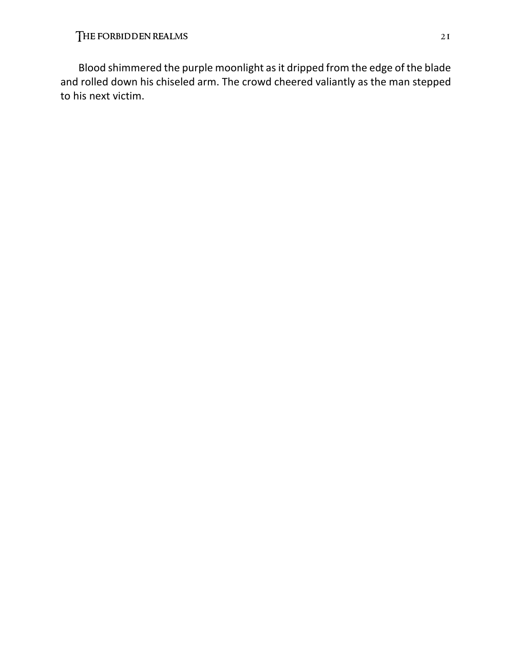Blood shimmered the purple moonlight as it dripped from the edge of the blade and rolled down his chiseled arm. The crowd cheered valiantly as the man stepped to his next victim.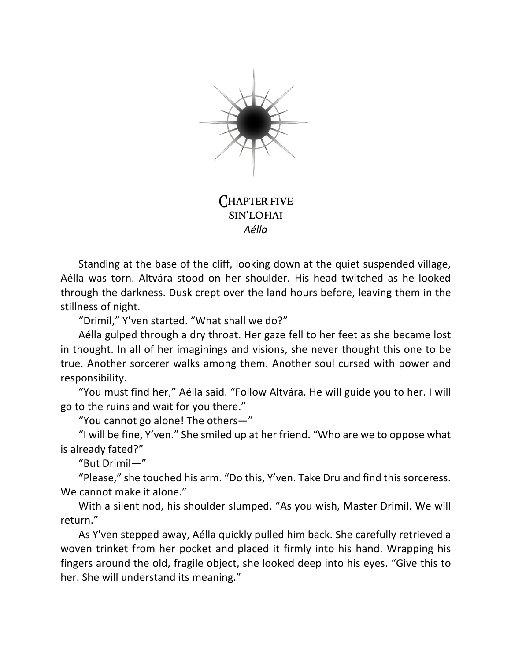

Chapter five sin'lohai *Aélla*

Standing at the base of the cliff, looking down at the quiet suspended village, Aélla was torn. Altvára stood on her shoulder. His head twitched as he looked through the darkness. Dusk crept over the land hours before, leaving them in the stillness of night.

"Drimil," Y'ven started. "What shall we do?"

Aélla gulped through a dry throat. Her gaze fell to her feet as she became lost in thought. In all of her imaginings and visions, she never thought this one to be true. Another sorcerer walks among them. Another soul cursed with power and responsibility.

"You must find her," Aélla said. "Follow Altvára. He will guide you to her. I will go to the ruins and wait for you there."

"You cannot go alone! The others—"

"I will be fine, Y'ven." She smiled up at her friend. "Who are we to oppose what is already fated?"

"But Drimil—"

"Please," she touched his arm. "Do this, Y'ven. Take Dru and find this sorceress. We cannot make it alone."

With a silent nod, his shoulder slumped. "As you wish, Master Drimil. We will return."

As Y'ven stepped away, Aélla quickly pulled him back. She carefully retrieved a woven trinket from her pocket and placed it firmly into his hand. Wrapping his fingers around the old, fragile object, she looked deep into his eyes. "Give this to her. She will understand its meaning."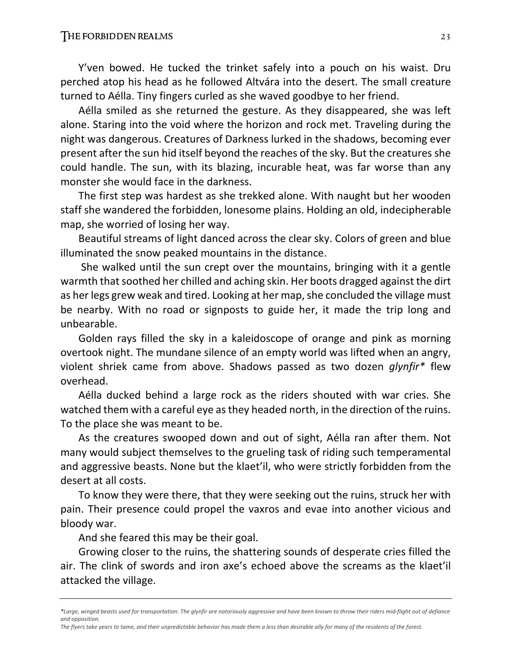Y'ven bowed. He tucked the trinket safely into a pouch on his waist. Dru perched atop his head as he followed Altvára into the desert. The small creature turned to Aélla. Tiny fingers curled as she waved goodbye to her friend.

Aélla smiled as she returned the gesture. As they disappeared, she was left alone. Staring into the void where the horizon and rock met. Traveling during the night was dangerous. Creatures of Darkness lurked in the shadows, becoming ever present after the sun hid itself beyond the reaches of the sky. But the creatures she could handle. The sun, with its blazing, incurable heat, was far worse than any monster she would face in the darkness.

The first step was hardest as she trekked alone. With naught but her wooden staff she wandered the forbidden, lonesome plains. Holding an old, indecipherable map, she worried of losing her way.

Beautiful streams of light danced across the clear sky. Colors of green and blue illuminated the snow peaked mountains in the distance.

She walked until the sun crept over the mountains, bringing with it a gentle warmth that soothed her chilled and aching skin. Her boots dragged against the dirt as her legs grew weak and tired. Looking at her map, she concluded the village must be nearby. With no road or signposts to guide her, it made the trip long and unbearable.

Golden rays filled the sky in a kaleidoscope of orange and pink as morning overtook night. The mundane silence of an empty world was lifted when an angry, violent shriek came from above. Shadows passed as two dozen *glynfir\** flew overhead.

Aélla ducked behind a large rock as the riders shouted with war cries. She watched them with a careful eye as they headed north, in the direction of the ruins. To the place she was meant to be.

As the creatures swooped down and out of sight, Aélla ran after them. Not many would subject themselves to the grueling task of riding such temperamental and aggressive beasts. None but the klaet'il, who were strictly forbidden from the desert at all costs.

To know they were there, that they were seeking out the ruins, struck her with pain. Their presence could propel the vaxros and evae into another vicious and bloody war.

And she feared this may be their goal.

Growing closer to the ruins, the shattering sounds of desperate cries filled the air. The clink of swords and iron axe's echoed above the screams as the klaet'il attacked the village.

*<sup>\*</sup>Large, winged beasts used for transportation. The glynfir are notoriously aggressive and have been known to throw their riders mid-flight out of defiance and opposition.* 

*The flyers take years to tame, and their unpredictable behavior has made them a less than desirable ally for many of the residents of the forest.*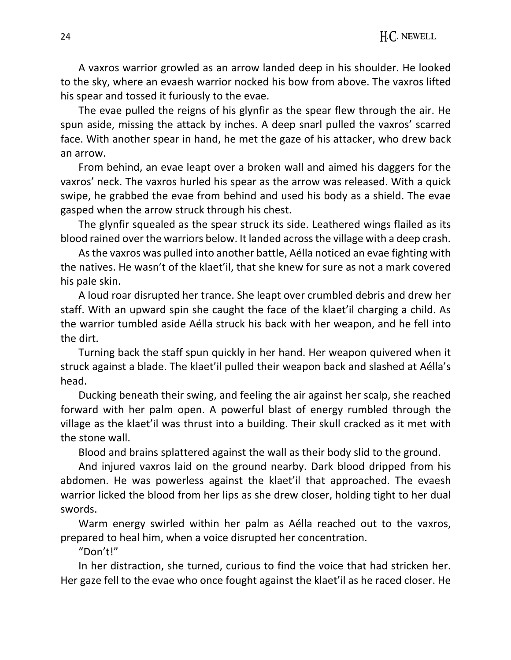A vaxros warrior growled as an arrow landed deep in his shoulder. He looked to the sky, where an evaesh warrior nocked his bow from above. The vaxros lifted his spear and tossed it furiously to the evae.

The evae pulled the reigns of his glynfir as the spear flew through the air. He spun aside, missing the attack by inches. A deep snarl pulled the vaxros' scarred face. With another spear in hand, he met the gaze of his attacker, who drew back an arrow.

From behind, an evae leapt over a broken wall and aimed his daggers for the vaxros' neck. The vaxros hurled his spear as the arrow was released. With a quick swipe, he grabbed the evae from behind and used his body as a shield. The evae gasped when the arrow struck through his chest.

The glynfir squealed as the spear struck its side. Leathered wings flailed as its blood rained over the warriors below. It landed across the village with a deep crash.

As the vaxros was pulled into another battle, Aélla noticed an evae fighting with the natives. He wasn't of the klaet'il, that she knew for sure as not a mark covered his pale skin.

A loud roar disrupted her trance. She leapt over crumbled debris and drew her staff. With an upward spin she caught the face of the klaet'il charging a child. As the warrior tumbled aside Aélla struck his back with her weapon, and he fell into the dirt.

Turning back the staff spun quickly in her hand. Her weapon quivered when it struck against a blade. The klaet'il pulled their weapon back and slashed at Aélla's head.

Ducking beneath their swing, and feeling the air against her scalp, she reached forward with her palm open. A powerful blast of energy rumbled through the village as the klaet'il was thrust into a building. Their skull cracked as it met with the stone wall.

Blood and brains splattered against the wall as their body slid to the ground.

And injured vaxros laid on the ground nearby. Dark blood dripped from his abdomen. He was powerless against the klaet'il that approached. The evaesh warrior licked the blood from her lips as she drew closer, holding tight to her dual swords.

Warm energy swirled within her palm as Aélla reached out to the vaxros, prepared to heal him, when a voice disrupted her concentration.

"Don't!"

In her distraction, she turned, curious to find the voice that had stricken her. Her gaze fell to the evae who once fought against the klaet'il as he raced closer. He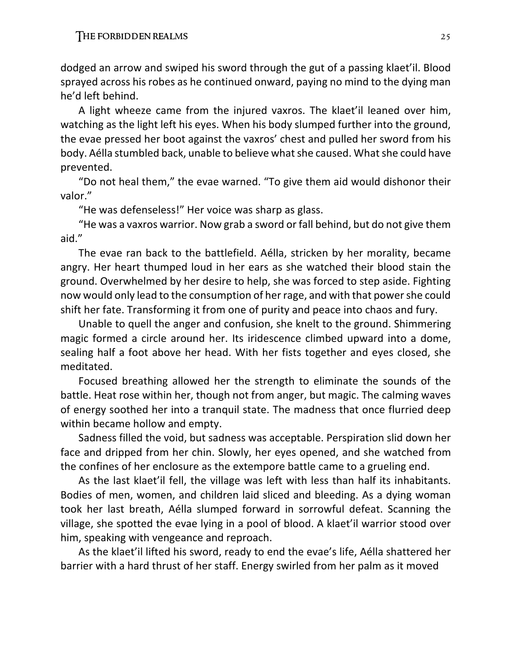dodged an arrow and swiped his sword through the gut of a passing klaet'il. Blood sprayed across his robes as he continued onward, paying no mind to the dying man he'd left behind.

A light wheeze came from the injured vaxros. The klaet'il leaned over him, watching as the light left his eyes. When his body slumped further into the ground, the evae pressed her boot against the vaxros' chest and pulled her sword from his body. Aélla stumbled back, unable to believe what she caused. What she could have prevented.

"Do not heal them," the evae warned. "To give them aid would dishonor their valor."

"He was defenseless!" Her voice was sharp as glass.

"He was a vaxros warrior. Now grab a sword or fall behind, but do not give them aid."

The evae ran back to the battlefield. Aélla, stricken by her morality, became angry. Her heart thumped loud in her ears as she watched their blood stain the ground. Overwhelmed by her desire to help, she was forced to step aside. Fighting now would only lead to the consumption of her rage, and with that power she could shift her fate. Transforming it from one of purity and peace into chaos and fury.

Unable to quell the anger and confusion, she knelt to the ground. Shimmering magic formed a circle around her. Its iridescence climbed upward into a dome, sealing half a foot above her head. With her fists together and eyes closed, she meditated.

Focused breathing allowed her the strength to eliminate the sounds of the battle. Heat rose within her, though not from anger, but magic. The calming waves of energy soothed her into a tranquil state. The madness that once flurried deep within became hollow and empty.

Sadness filled the void, but sadness was acceptable. Perspiration slid down her face and dripped from her chin. Slowly, her eyes opened, and she watched from the confines of her enclosure as the extempore battle came to a grueling end.

As the last klaet'il fell, the village was left with less than half its inhabitants. Bodies of men, women, and children laid sliced and bleeding. As a dying woman took her last breath, Aélla slumped forward in sorrowful defeat. Scanning the village, she spotted the evae lying in a pool of blood. A klaet'il warrior stood over him, speaking with vengeance and reproach.

As the klaet'il lifted his sword, ready to end the evae's life, Aélla shattered her barrier with a hard thrust of her staff. Energy swirled from her palm as it moved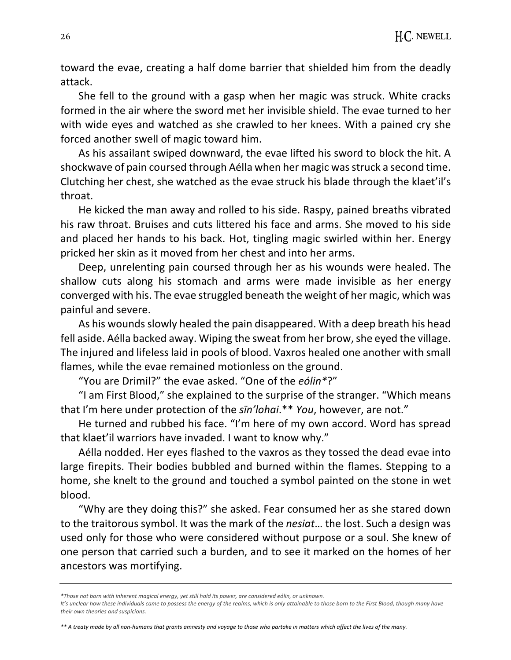toward the evae, creating a half dome barrier that shielded him from the deadly attack.

She fell to the ground with a gasp when her magic was struck. White cracks formed in the air where the sword met her invisible shield. The evae turned to her with wide eyes and watched as she crawled to her knees. With a pained cry she forced another swell of magic toward him.

As his assailant swiped downward, the evae lifted his sword to block the hit. A shockwave of pain coursed through Aélla when her magic was struck a second time. Clutching her chest, she watched as the evae struck his blade through the klaet'il's throat.

He kicked the man away and rolled to his side. Raspy, pained breaths vibrated his raw throat. Bruises and cuts littered his face and arms. She moved to his side and placed her hands to his back. Hot, tingling magic swirled within her. Energy pricked her skin as it moved from her chest and into her arms.

Deep, unrelenting pain coursed through her as his wounds were healed. The shallow cuts along his stomach and arms were made invisible as her energy converged with his. The evae struggled beneath the weight of her magic, which was painful and severe.

As his wounds slowly healed the pain disappeared. With a deep breath his head fell aside. Aélla backed away. Wiping the sweat from her brow, she eyed the village. The injured and lifeless laid in pools of blood. Vaxros healed one another with small flames, while the evae remained motionless on the ground.

"You are Drimil?" the evae asked. "One of the *eólin\**?"

"I am First Blood," she explained to the surprise of the stranger. "Which means that I'm here under protection of the *sïn'lohai*.\*\* *You*, however, are not."

He turned and rubbed his face. "I'm here of my own accord. Word has spread that klaet'il warriors have invaded. I want to know why."

Aélla nodded. Her eyes flashed to the vaxros as they tossed the dead evae into large firepits. Their bodies bubbled and burned within the flames. Stepping to a home, she knelt to the ground and touched a symbol painted on the stone in wet blood.

"Why are they doing this?" she asked. Fear consumed her as she stared down to the traitorous symbol. It was the mark of the *nesiat*… the lost. Such a design was used only for those who were considered without purpose or a soul. She knew of one person that carried such a burden, and to see it marked on the homes of her ancestors was mortifying.

*\*\* A treaty made by all non-humans that grants amnesty and voyage to those who partake in matters which affect the lives of the many.*

*<sup>\*</sup>Those not born with inherent magical energy, yet still hold its power, are considered eólin, or unknown.* 

It's unclear how these individuals came to possess the energy of the realms, which is only attainable to those born to the First Blood, though many have *their own theories and suspicions.*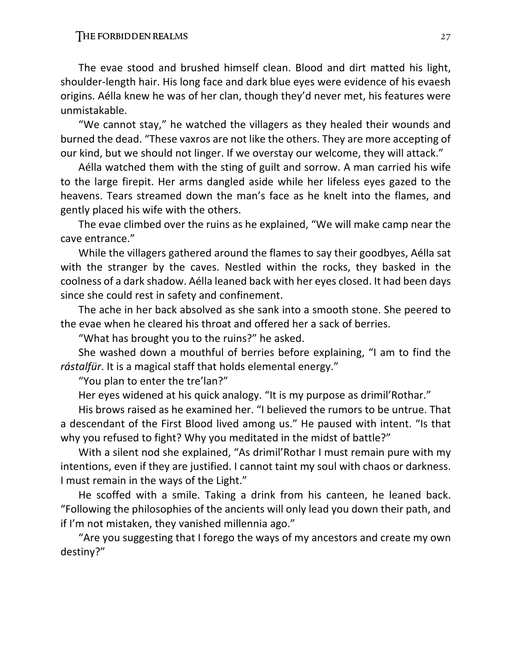The evae stood and brushed himself clean. Blood and dirt matted his light, shoulder-length hair. His long face and dark blue eyes were evidence of his evaesh origins. Aélla knew he was of her clan, though they'd never met, his features were unmistakable.

"We cannot stay," he watched the villagers as they healed their wounds and burned the dead. "These vaxros are not like the others. They are more accepting of our kind, but we should not linger. If we overstay our welcome, they will attack."

Aélla watched them with the sting of guilt and sorrow. A man carried his wife to the large firepit. Her arms dangled aside while her lifeless eyes gazed to the heavens. Tears streamed down the man's face as he knelt into the flames, and gently placed his wife with the others.

The evae climbed over the ruins as he explained, "We will make camp near the cave entrance."

While the villagers gathered around the flames to say their goodbyes, Aélla sat with the stranger by the caves. Nestled within the rocks, they basked in the coolness of a dark shadow. Aélla leaned back with her eyes closed. It had been days since she could rest in safety and confinement.

The ache in her back absolved as she sank into a smooth stone. She peered to the evae when he cleared his throat and offered her a sack of berries.

"What has brought you to the ruins?" he asked.

She washed down a mouthful of berries before explaining, "I am to find the *rástalfür*. It is a magical staff that holds elemental energy."

"You plan to enter the tre'lan?"

Her eyes widened at his quick analogy. "It is my purpose as drimil'Rothar."

His brows raised as he examined her. "I believed the rumors to be untrue. That a descendant of the First Blood lived among us." He paused with intent. "Is that why you refused to fight? Why you meditated in the midst of battle?"

With a silent nod she explained, "As drimil'Rothar I must remain pure with my intentions, even if they are justified. I cannot taint my soul with chaos or darkness. I must remain in the ways of the Light."

He scoffed with a smile. Taking a drink from his canteen, he leaned back. "Following the philosophies of the ancients will only lead you down their path, and if I'm not mistaken, they vanished millennia ago."

"Are you suggesting that I forego the ways of my ancestors and create my own destiny?"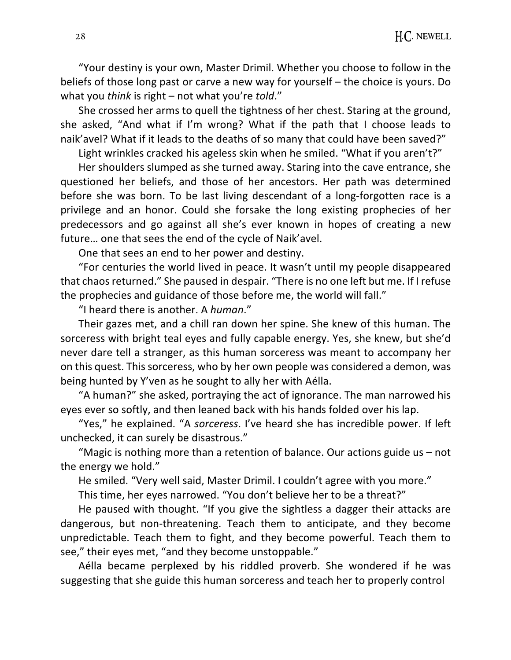"Your destiny is your own, Master Drimil. Whether you choose to follow in the beliefs of those long past or carve a new way for yourself – the choice is yours. Do what you *think* is right – not what you're *told*."

She crossed her arms to quell the tightness of her chest. Staring at the ground, she asked, "And what if I'm wrong? What if the path that I choose leads to naik'avel? What if it leads to the deaths of so many that could have been saved?"

Light wrinkles cracked his ageless skin when he smiled. "What if you aren't?"

Her shoulders slumped as she turned away. Staring into the cave entrance, she questioned her beliefs, and those of her ancestors. Her path was determined before she was born. To be last living descendant of a long-forgotten race is a privilege and an honor. Could she forsake the long existing prophecies of her predecessors and go against all she's ever known in hopes of creating a new future… one that sees the end of the cycle of Naik'avel.

One that sees an end to her power and destiny.

"For centuries the world lived in peace. It wasn't until my people disappeared that chaos returned." She paused in despair. "There is no one left but me. If I refuse the prophecies and guidance of those before me, the world will fall."

"I heard there is another. A *human*."

Their gazes met, and a chill ran down her spine. She knew of this human. The sorceress with bright teal eyes and fully capable energy. Yes, she knew, but she'd never dare tell a stranger, as this human sorceress was meant to accompany her on this quest. This sorceress, who by her own people was considered a demon, was being hunted by Y'ven as he sought to ally her with Aélla.

"A human?" she asked, portraying the act of ignorance. The man narrowed his eyes ever so softly, and then leaned back with his hands folded over his lap.

"Yes," he explained. "A *sorceress*. I've heard she has incredible power. If left unchecked, it can surely be disastrous."

"Magic is nothing more than a retention of balance. Our actions guide us – not the energy we hold."

He smiled. "Very well said, Master Drimil. I couldn't agree with you more."

This time, her eyes narrowed. "You don't believe her to be a threat?"

He paused with thought. "If you give the sightless a dagger their attacks are dangerous, but non-threatening. Teach them to anticipate, and they become unpredictable. Teach them to fight, and they become powerful. Teach them to see," their eyes met, "and they become unstoppable."

Aélla became perplexed by his riddled proverb. She wondered if he was suggesting that she guide this human sorceress and teach her to properly control